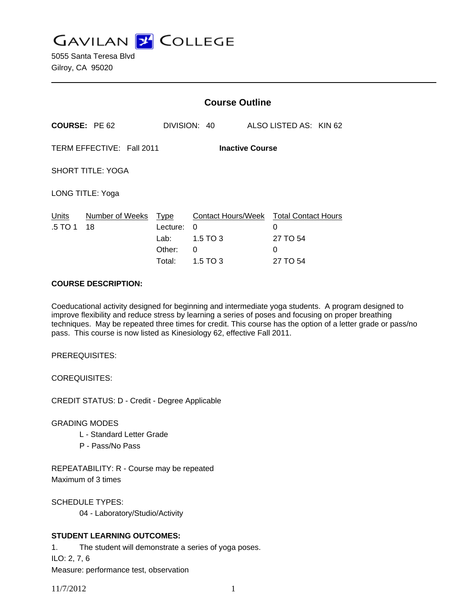**GAVILAN Z COLLEGE** 

5055 Santa Teresa Blvd Gilroy, CA 95020

|                                                     |                       | <b>Course Outline</b>                               |                                                               |                                                              |  |
|-----------------------------------------------------|-----------------------|-----------------------------------------------------|---------------------------------------------------------------|--------------------------------------------------------------|--|
|                                                     | <b>COURSE: PE 62</b>  |                                                     | DIVISION: 40                                                  | ALSO LISTED AS: KIN 62                                       |  |
| TERM EFFECTIVE: Fall 2011<br><b>Inactive Course</b> |                       |                                                     |                                                               |                                                              |  |
| <b>SHORT TITLE: YOGA</b>                            |                       |                                                     |                                                               |                                                              |  |
| LONG TITLE: Yoga                                    |                       |                                                     |                                                               |                                                              |  |
| Units<br>.5 TO 1                                    | Number of Weeks<br>18 | <b>Type</b><br>Lecture:<br>Lab:<br>Other:<br>Total: | <b>Contact Hours/Week</b><br>0<br>1.5 TO 3<br>0<br>$1.5$ TO 3 | <b>Total Contact Hours</b><br>0<br>27 TO 54<br>0<br>27 TO 54 |  |

### **COURSE DESCRIPTION:**

Coeducational activity designed for beginning and intermediate yoga students. A program designed to improve flexibility and reduce stress by learning a series of poses and focusing on proper breathing techniques. May be repeated three times for credit. This course has the option of a letter grade or pass/no pass. This course is now listed as Kinesiology 62, effective Fall 2011.

PREREQUISITES:

COREQUISITES:

CREDIT STATUS: D - Credit - Degree Applicable

GRADING MODES

- L Standard Letter Grade
- P Pass/No Pass

REPEATABILITY: R - Course may be repeated Maximum of 3 times

SCHEDULE TYPES:

04 - Laboratory/Studio/Activity

## **STUDENT LEARNING OUTCOMES:**

1. The student will demonstrate a series of yoga poses. ILO: 2, 7, 6

Measure: performance test, observation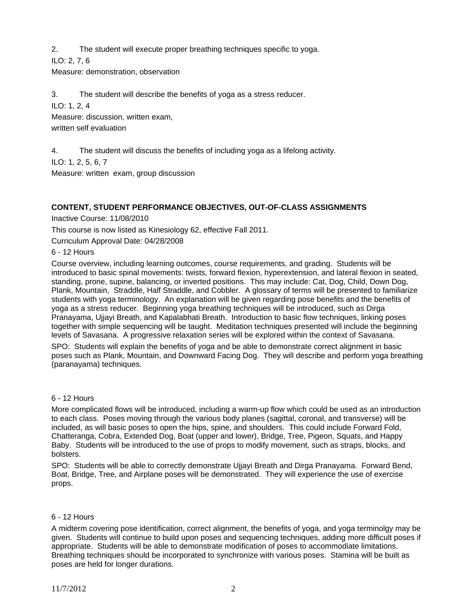2. The student will execute proper breathing techniques specific to yoga.

ILO: 2, 7, 6

Measure: demonstration, observation

3. The student will describe the benefits of yoga as a stress reducer.

ILO: 1, 2, 4

Measure: discussion, written exam,

written self evaluation

4. The student will discuss the benefits of including yoga as a lifelong activity.

ILO: 1, 2, 5, 6, 7

Measure: written exam, group discussion

# **CONTENT, STUDENT PERFORMANCE OBJECTIVES, OUT-OF-CLASS ASSIGNMENTS**

Inactive Course: 11/08/2010

This course is now listed as Kinesiology 62, effective Fall 2011.

Curriculum Approval Date: 04/28/2008

6 - 12 Hours

Course overview, including learning outcomes, course requirements, and grading. Students will be introduced to basic spinal movements: twists, forward flexion, hyperextension, and lateral flexion in seated, standing, prone, supine, balancing, or inverted positions. This may include: Cat, Dog, Child, Down Dog, Plank, Mountain, Straddle, Half Straddle, and Cobbler. A glossary of terms will be presented to familiarize students with yoga terminology. An explanation will be given regarding pose benefits and the benefits of yoga as a stress reducer. Beginning yoga breathing techniques will be introduced, such as Dirga Pranayama, Ujjayi Breath, and Kapalabhati Breath. Introduction to basic flow techniques, linking poses together with simple sequencing will be taught. Meditation techniques presented will include the beginning levels of Savasana. A progressive relaxation series will be explored within the context of Savasana.

SPO: Students will explain the benefits of yoga and be able to demonstrate correct alignment in basic poses such as Plank, Mountain, and Downward Facing Dog. They will describe and perform yoga breathing (paranayama) techniques.

# 6 - 12 Hours

More complicated flows will be introduced, including a warm-up flow which could be used as an introduction to each class. Poses moving through the various body planes (sagittal, coronal, and transverse) will be included, as will basic poses to open the hips, spine, and shoulders. This could include Forward Fold, Chatteranga, Cobra, Extended Dog, Boat (upper and lower), Bridge, Tree, Pigeon, Squats, and Happy Baby. Students will be introduced to the use of props to modify movement, such as straps, blocks, and bolsters.

SPO: Students will be able to correctly demonstrate Ujjayi Breath and Dirga Pranayama. Forward Bend, Boat, Bridge, Tree, and Airplane poses will be demonstrated. They will experience the use of exercise props.

## 6 - 12 Hours

A midterm covering pose identification, correct alignment, the benefits of yoga, and yoga terminolgy may be given. Students will continue to build upon poses and sequencing techniques, adding more difficult poses if appropriate. Students will be able to demonstrate modification of poses to accommodiate limitations. Breathing techniques should be incorporated to synchronize with various poses. Stamina will be built as poses are held for longer durations.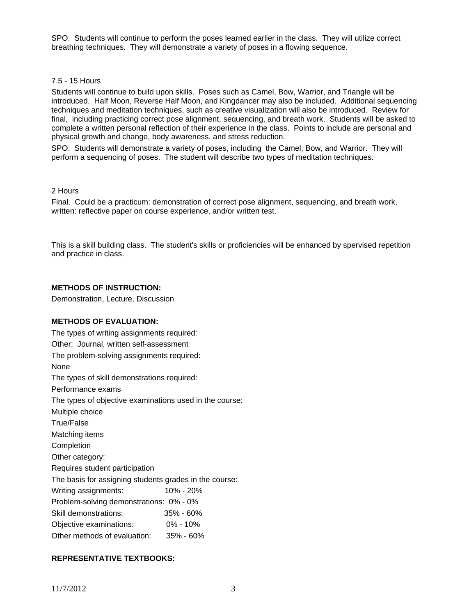SPO: Students will continue to perform the poses learned earlier in the class. They will utilize correct breathing techniques. They will demonstrate a variety of poses in a flowing sequence.

#### 7.5 - 15 Hours

Students will continue to build upon skills. Poses such as Camel, Bow, Warrior, and Triangle will be introduced. Half Moon, Reverse Half Moon, and Kingdancer may also be included. Additional sequencing techniques and meditation techniques, such as creative visualization will also be introduced. Review for final, including practicing correct pose alignment, sequencing, and breath work. Students will be asked to complete a written personal reflection of their experience in the class. Points to include are personal and physical growth and change, body awareness, and stress reduction.

SPO: Students will demonstrate a variety of poses, including the Camel, Bow, and Warrior. They will perform a sequencing of poses. The student will describe two types of meditation techniques.

#### 2 Hours

Final. Could be a practicum: demonstration of correct pose alignment, sequencing, and breath work, written: reflective paper on course experience, and/or written test.

This is a skill building class. The student's skills or proficiencies will be enhanced by spervised repetition and practice in class.

## **METHODS OF INSTRUCTION:**

Demonstration, Lecture, Discussion

### **METHODS OF EVALUATION:**

The types of writing assignments required: Other: Journal, written self-assessment The problem-solving assignments required: None The types of skill demonstrations required: Performance exams The types of objective examinations used in the course: Multiple choice True/False Matching items Completion Other category: Requires student participation The basis for assigning students grades in the course: Writing assignments: 10% - 20% Problem-solving demonstrations: 0% - 0% Skill demonstrations: 35% - 60% Objective examinations: 0% - 10% Other methods of evaluation: 35% - 60%

## **REPRESENTATIVE TEXTBOOKS:**